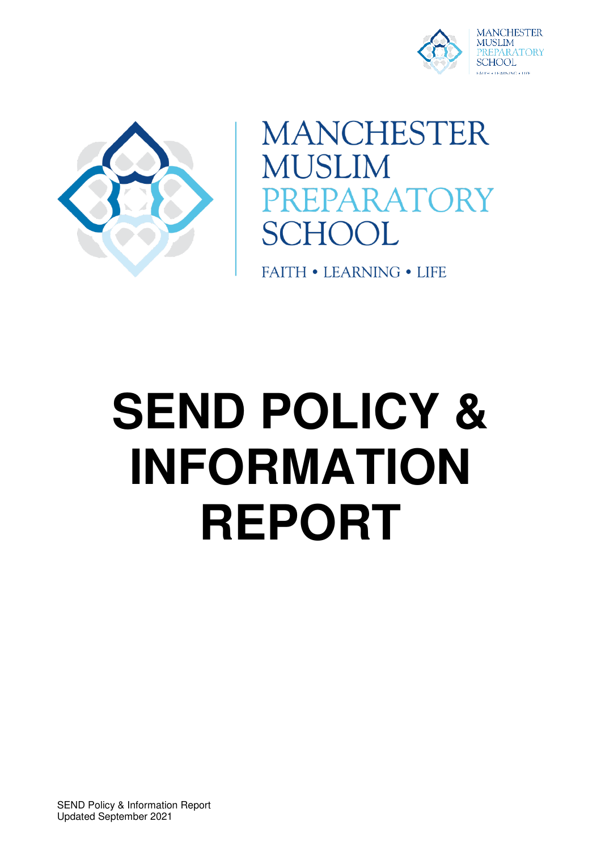



**MANCHESTER MUSLIM** PARATORY SCHOOL

**FAITH • LEARNING • LIFE** 

# **SEND POLICY & INFORMATION REPORT**

SEND Policy & Information Report Updated September 2021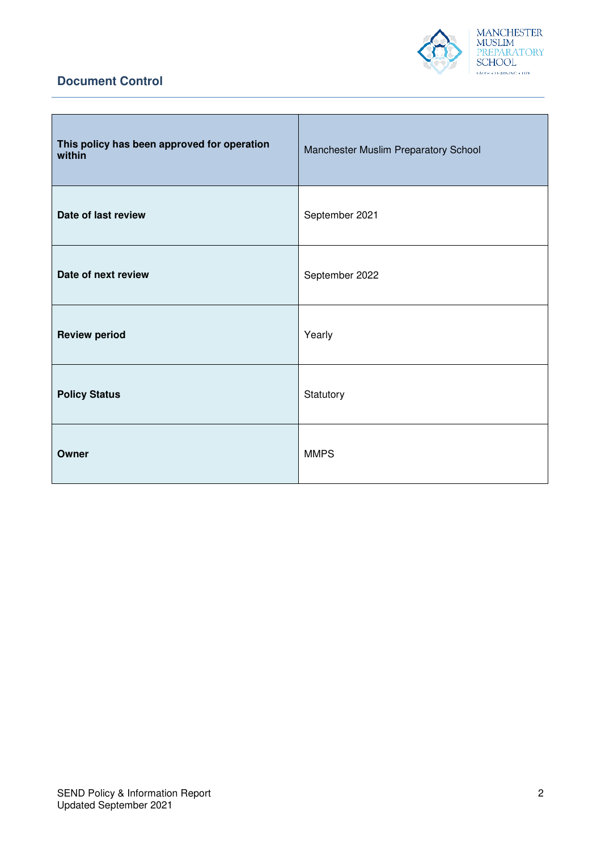

## **Document Control**

| This policy has been approved for operation<br>within | Manchester Muslim Preparatory School |
|-------------------------------------------------------|--------------------------------------|
| Date of last review                                   | September 2021                       |
| Date of next review                                   | September 2022                       |
| <b>Review period</b>                                  | Yearly                               |
| <b>Policy Status</b>                                  | Statutory                            |
| Owner                                                 | <b>MMPS</b>                          |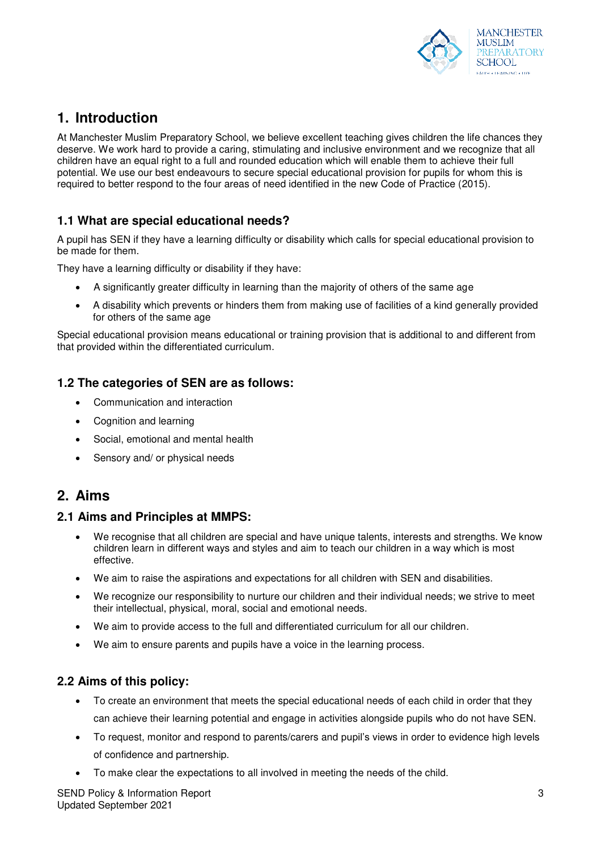

# **1. Introduction**

At Manchester Muslim Preparatory School, we believe excellent teaching gives children the life chances they deserve. We work hard to provide a caring, stimulating and inclusive environment and we recognize that all children have an equal right to a full and rounded education which will enable them to achieve their full potential. We use our best endeavours to secure special educational provision for pupils for whom this is required to better respond to the four areas of need identified in the new Code of Practice (2015).

## **1.1 What are special educational needs?**

A pupil has SEN if they have a learning difficulty or disability which calls for special educational provision to be made for them.

They have a learning difficulty or disability if they have:

- A significantly greater difficulty in learning than the majority of others of the same age
- A disability which prevents or hinders them from making use of facilities of a kind generally provided for others of the same age

Special educational provision means educational or training provision that is additional to and different from that provided within the differentiated curriculum.

#### **1.2 The categories of SEN are as follows:**

- Communication and interaction
- Cognition and learning
- Social, emotional and mental health
- Sensory and/ or physical needs

## **2. Aims**

#### **2.1 Aims and Principles at MMPS:**

- We recognise that all children are special and have unique talents, interests and strengths. We know children learn in different ways and styles and aim to teach our children in a way which is most effective.
- We aim to raise the aspirations and expectations for all children with SEN and disabilities.
- We recognize our responsibility to nurture our children and their individual needs; we strive to meet their intellectual, physical, moral, social and emotional needs.
- We aim to provide access to the full and differentiated curriculum for all our children.
- We aim to ensure parents and pupils have a voice in the learning process.

#### **2.2 Aims of this policy:**

- To create an environment that meets the special educational needs of each child in order that they can achieve their learning potential and engage in activities alongside pupils who do not have SEN.
- To request, monitor and respond to parents/carers and pupil's views in order to evidence high levels of confidence and partnership.
- To make clear the expectations to all involved in meeting the needs of the child.

SEND Policy & Information Report Updated September 2021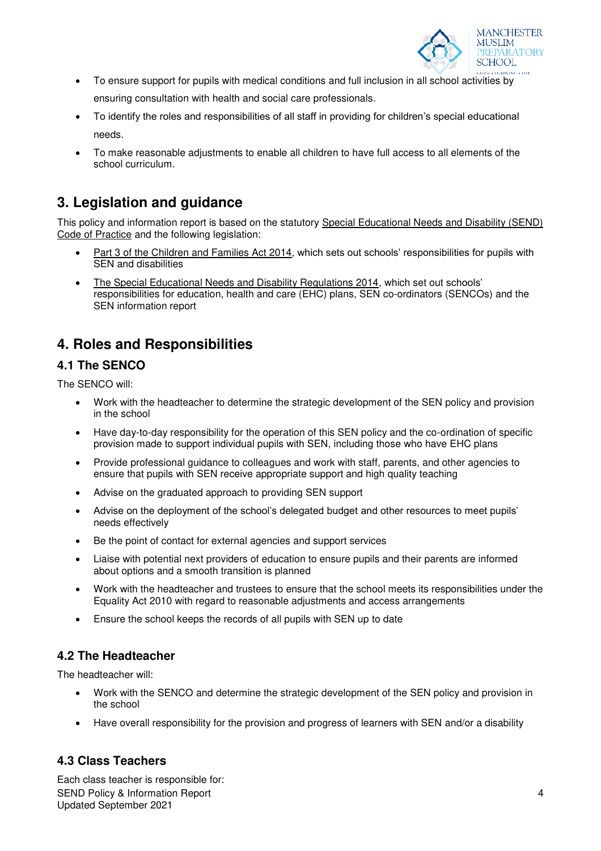

- To ensure support for pupils with medical conditions and full inclusion in all school activities by ensuring consultation with health and social care professionals.
- To identify the roles and responsibilities of all staff in providing for children's special educational needs.
- To make reasonable adjustments to enable all children to have full access to all elements of the school curriculum.

## **3. Legislation and guidance**

This policy and information report is based on the statutory [Special Educational Needs and Disability \(SEND\)](https://www.gov.uk/government/uploads/system/uploads/attachment_data/file/398815/SEND_Code_of_Practice_January_2015.pdf)  [Code of Practice](https://www.gov.uk/government/uploads/system/uploads/attachment_data/file/398815/SEND_Code_of_Practice_January_2015.pdf) and the following legislation:

- [Part 3 of the Children and Families Act 2014](http://www.legislation.gov.uk/ukpga/2014/6/part/3), which sets out schools' responsibilities for pupils with SEN and disabilities
- [The Special Educational Needs and Disability Regulations 2014,](http://www.legislation.gov.uk/uksi/2014/1530/contents/made) which set out schools' responsibilities for education, health and care (EHC) plans, SEN co-ordinators (SENCOs) and the SEN information report

# **4. Roles and Responsibilities**

## **4.1 The SENCO**

The SENCO will:

- Work with the headteacher to determine the strategic development of the SEN policy and provision in the school
- Have day-to-day responsibility for the operation of this SEN policy and the co-ordination of specific provision made to support individual pupils with SEN, including those who have EHC plans
- Provide professional guidance to colleagues and work with staff, parents, and other agencies to ensure that pupils with SEN receive appropriate support and high quality teaching
- Advise on the graduated approach to providing SEN support
- Advise on the deployment of the school's delegated budget and other resources to meet pupils' needs effectively
- Be the point of contact for external agencies and support services
- Liaise with potential next providers of education to ensure pupils and their parents are informed about options and a smooth transition is planned
- Work with the headteacher and trustees to ensure that the school meets its responsibilities under the Equality Act 2010 with regard to reasonable adjustments and access arrangements
- Ensure the school keeps the records of all pupils with SEN up to date

## **4.2 The Headteacher**

The headteacher will:

- Work with the SENCO and determine the strategic development of the SEN policy and provision in the school
- Have overall responsibility for the provision and progress of learners with SEN and/or a disability

## **4.3 Class Teachers**

SEND Policy & Information Report Updated September 2021 Each class teacher is responsible for: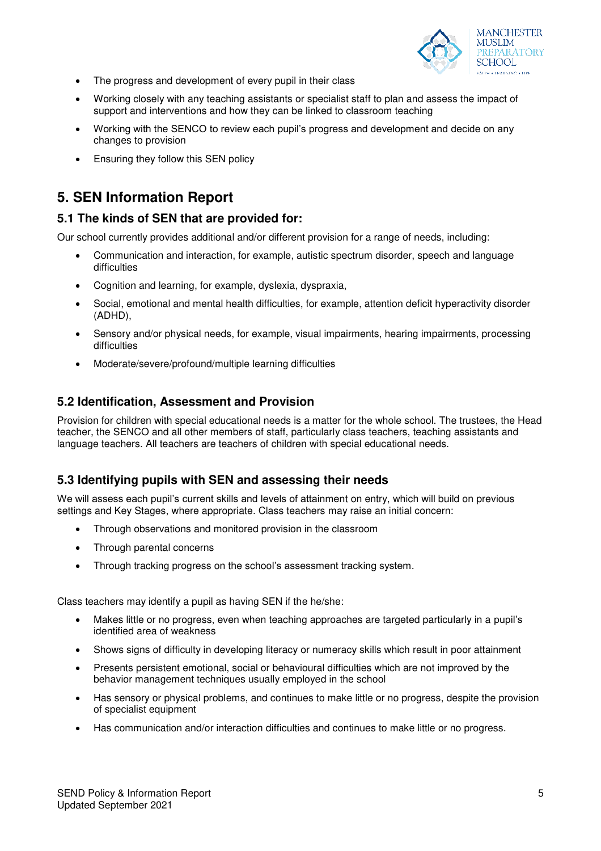

- The progress and development of every pupil in their class
- Working closely with any teaching assistants or specialist staff to plan and assess the impact of support and interventions and how they can be linked to classroom teaching
- Working with the SENCO to review each pupil's progress and development and decide on any changes to provision
- Ensuring they follow this SEN policy

# **5. SEN Information Report**

#### **5.1 The kinds of SEN that are provided for:**

Our school currently provides additional and/or different provision for a range of needs, including:

- Communication and interaction, for example, autistic spectrum disorder, speech and language difficulties
- Cognition and learning, for example, dyslexia, dyspraxia,
- Social, emotional and mental health difficulties, for example, attention deficit hyperactivity disorder (ADHD),
- Sensory and/or physical needs, for example, visual impairments, hearing impairments, processing difficulties
- Moderate/severe/profound/multiple learning difficulties

#### **5.2 Identification, Assessment and Provision**

Provision for children with special educational needs is a matter for the whole school. The trustees, the Head teacher, the SENCO and all other members of staff, particularly class teachers, teaching assistants and language teachers. All teachers are teachers of children with special educational needs.

#### **5.3 Identifying pupils with SEN and assessing their needs**

We will assess each pupil's current skills and levels of attainment on entry, which will build on previous settings and Key Stages, where appropriate. Class teachers may raise an initial concern:

- Through observations and monitored provision in the classroom
- Through parental concerns
- Through tracking progress on the school's assessment tracking system.

Class teachers may identify a pupil as having SEN if the he/she:

- Makes little or no progress, even when teaching approaches are targeted particularly in a pupil's identified area of weakness
- Shows signs of difficulty in developing literacy or numeracy skills which result in poor attainment
- Presents persistent emotional, social or behavioural difficulties which are not improved by the behavior management techniques usually employed in the school
- Has sensory or physical problems, and continues to make little or no progress, despite the provision of specialist equipment
- Has communication and/or interaction difficulties and continues to make little or no progress.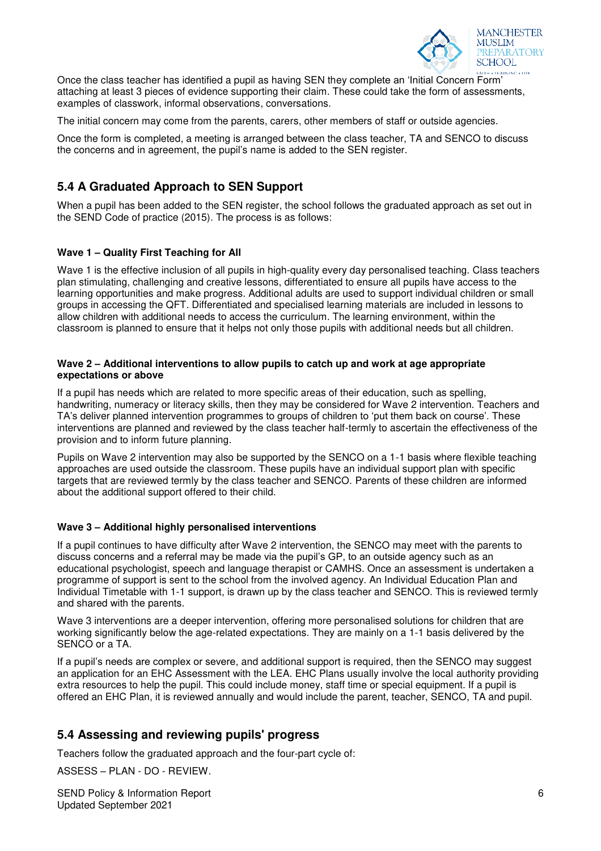

Once the class teacher has identified a pupil as having SEN they complete an 'Initial Concern Form' attaching at least 3 pieces of evidence supporting their claim. These could take the form of assessments, examples of classwork, informal observations, conversations.

The initial concern may come from the parents, carers, other members of staff or outside agencies.

Once the form is completed, a meeting is arranged between the class teacher, TA and SENCO to discuss the concerns and in agreement, the pupil's name is added to the SEN register.

## **5.4 A Graduated Approach to SEN Support**

When a pupil has been added to the SEN register, the school follows the graduated approach as set out in the SEND Code of practice (2015). The process is as follows:

#### **Wave 1 – Quality First Teaching for All**

Wave 1 is the effective inclusion of all pupils in high-quality every day personalised teaching. Class teachers plan stimulating, challenging and creative lessons, differentiated to ensure all pupils have access to the learning opportunities and make progress. Additional adults are used to support individual children or small groups in accessing the QFT. Differentiated and specialised learning materials are included in lessons to allow children with additional needs to access the curriculum. The learning environment, within the classroom is planned to ensure that it helps not only those pupils with additional needs but all children.

#### **Wave 2 – Additional interventions to allow pupils to catch up and work at age appropriate expectations or above**

If a pupil has needs which are related to more specific areas of their education, such as spelling, handwriting, numeracy or literacy skills, then they may be considered for Wave 2 intervention. Teachers and TA's deliver planned intervention programmes to groups of children to 'put them back on course'. These interventions are planned and reviewed by the class teacher half-termly to ascertain the effectiveness of the provision and to inform future planning.

Pupils on Wave 2 intervention may also be supported by the SENCO on a 1-1 basis where flexible teaching approaches are used outside the classroom. These pupils have an individual support plan with specific targets that are reviewed termly by the class teacher and SENCO. Parents of these children are informed about the additional support offered to their child.

#### **Wave 3 – Additional highly personalised interventions**

If a pupil continues to have difficulty after Wave 2 intervention, the SENCO may meet with the parents to discuss concerns and a referral may be made via the pupil's GP, to an outside agency such as an educational psychologist, speech and language therapist or CAMHS. Once an assessment is undertaken a programme of support is sent to the school from the involved agency. An Individual Education Plan and Individual Timetable with 1-1 support, is drawn up by the class teacher and SENCO. This is reviewed termly and shared with the parents.

Wave 3 interventions are a deeper intervention, offering more personalised solutions for children that are working significantly below the age-related expectations. They are mainly on a 1-1 basis delivered by the SENCO or a TA.

If a pupil's needs are complex or severe, and additional support is required, then the SENCO may suggest an application for an EHC Assessment with the LEA. EHC Plans usually involve the local authority providing extra resources to help the pupil. This could include money, staff time or special equipment. If a pupil is offered an EHC Plan, it is reviewed annually and would include the parent, teacher, SENCO, TA and pupil.

#### **5.4 Assessing and reviewing pupils' progress**

Teachers follow the graduated approach and the four-part cycle of:

ASSESS – PLAN - DO - REVIEW.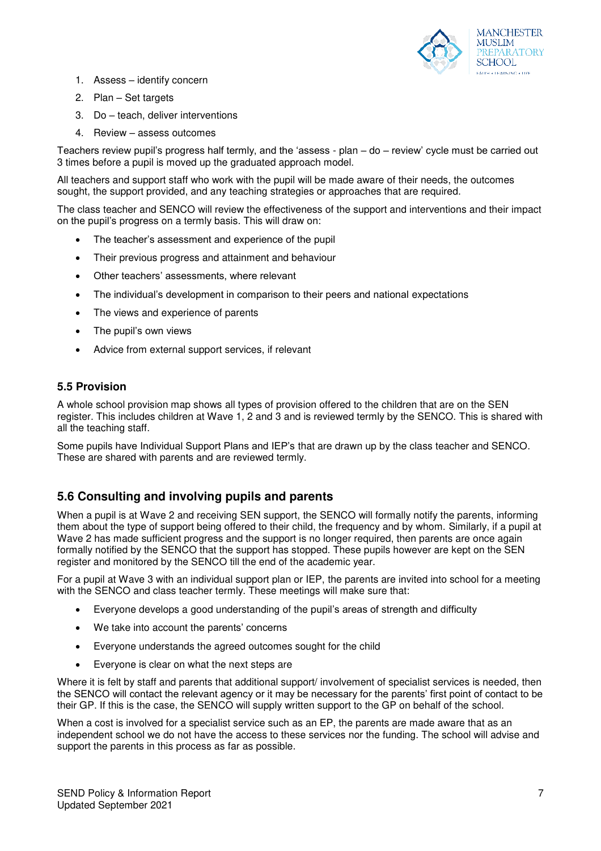

- 1. Assess identify concern
- 2. Plan Set targets
- 3. Do teach, deliver interventions
- 4. Review assess outcomes

Teachers review pupil's progress half termly, and the 'assess - plan – do – review' cycle must be carried out 3 times before a pupil is moved up the graduated approach model.

All teachers and support staff who work with the pupil will be made aware of their needs, the outcomes sought, the support provided, and any teaching strategies or approaches that are required.

The class teacher and SENCO will review the effectiveness of the support and interventions and their impact on the pupil's progress on a termly basis. This will draw on:

- The teacher's assessment and experience of the pupil
- Their previous progress and attainment and behaviour
- Other teachers' assessments, where relevant
- The individual's development in comparison to their peers and national expectations
- The views and experience of parents
- The pupil's own views
- Advice from external support services, if relevant

#### **5.5 Provision**

A whole school provision map shows all types of provision offered to the children that are on the SEN register. This includes children at Wave 1, 2 and 3 and is reviewed termly by the SENCO. This is shared with all the teaching staff.

Some pupils have Individual Support Plans and IEP's that are drawn up by the class teacher and SENCO. These are shared with parents and are reviewed termly.

#### **5.6 Consulting and involving pupils and parents**

When a pupil is at Wave 2 and receiving SEN support, the SENCO will formally notify the parents, informing them about the type of support being offered to their child, the frequency and by whom. Similarly, if a pupil at Wave 2 has made sufficient progress and the support is no longer required, then parents are once again formally notified by the SENCO that the support has stopped. These pupils however are kept on the SEN register and monitored by the SENCO till the end of the academic year.

For a pupil at Wave 3 with an individual support plan or IEP, the parents are invited into school for a meeting with the SENCO and class teacher termly. These meetings will make sure that:

- Everyone develops a good understanding of the pupil's areas of strength and difficulty
- We take into account the parents' concerns
- Everyone understands the agreed outcomes sought for the child
- Everyone is clear on what the next steps are

Where it is felt by staff and parents that additional support/ involvement of specialist services is needed, then the SENCO will contact the relevant agency or it may be necessary for the parents' first point of contact to be their GP. If this is the case, the SENCO will supply written support to the GP on behalf of the school.

When a cost is involved for a specialist service such as an EP, the parents are made aware that as an independent school we do not have the access to these services nor the funding. The school will advise and support the parents in this process as far as possible.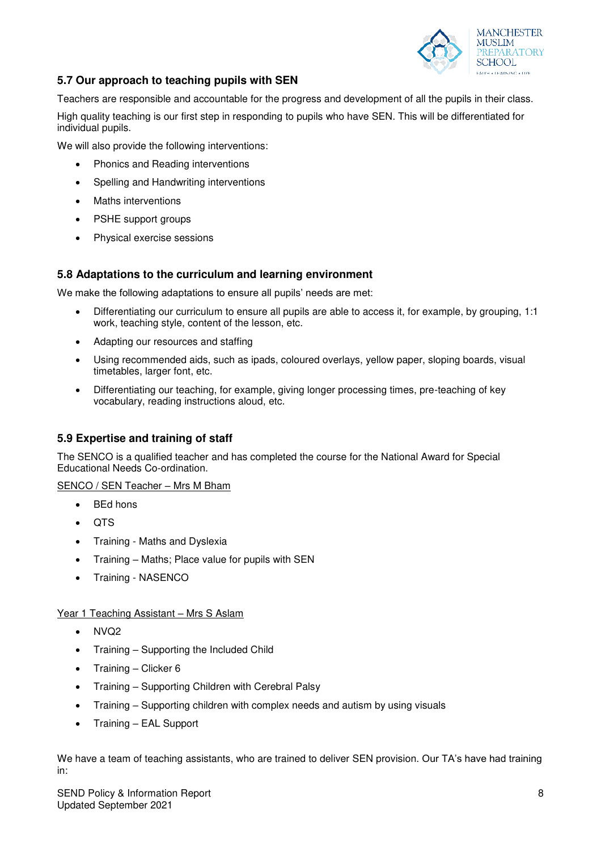

#### **5.7 Our approach to teaching pupils with SEN**

Teachers are responsible and accountable for the progress and development of all the pupils in their class.

High quality teaching is our first step in responding to pupils who have SEN. This will be differentiated for individual pupils.

We will also provide the following interventions:

- Phonics and Reading interventions
- Spelling and Handwriting interventions
- Maths interventions
- PSHE support groups
- Physical exercise sessions

#### **5.8 Adaptations to the curriculum and learning environment**

We make the following adaptations to ensure all pupils' needs are met:

- Differentiating our curriculum to ensure all pupils are able to access it, for example, by grouping, 1:1 work, teaching style, content of the lesson, etc.
- Adapting our resources and staffing
- Using recommended aids, such as ipads, coloured overlays, yellow paper, sloping boards, visual timetables, larger font, etc.
- Differentiating our teaching, for example, giving longer processing times, pre-teaching of key vocabulary, reading instructions aloud, etc.

#### **5.9 Expertise and training of staff**

The SENCO is a qualified teacher and has completed the course for the National Award for Special Educational Needs Co-ordination.

SENCO / SEN Teacher – Mrs M Bham

- BEd hons
- QTS
- Training Maths and Dyslexia
- Training Maths; Place value for pupils with SEN
- Training NASENCO

#### Year 1 Teaching Assistant - Mrs S Aslam

- $\bullet$  NVQ2
- Training Supporting the Included Child
- Training Clicker 6
- Training Supporting Children with Cerebral Palsy
- Training Supporting children with complex needs and autism by using visuals
- Training EAL Support

We have a team of teaching assistants, who are trained to deliver SEN provision. Our TA's have had training in: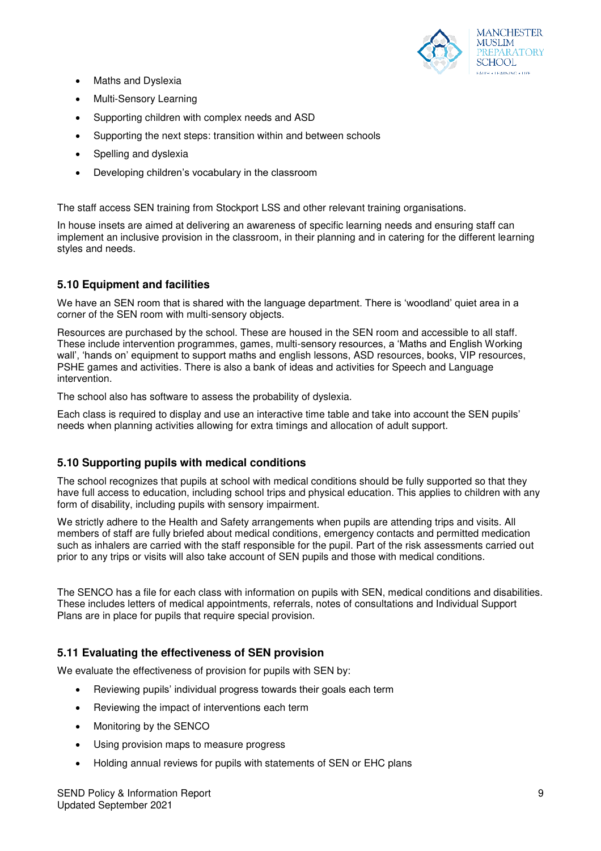

- Maths and Dyslexia
- Multi-Sensory Learning
- Supporting children with complex needs and ASD
- Supporting the next steps: transition within and between schools
- Spelling and dyslexia
- Developing children's vocabulary in the classroom

The staff access SEN training from Stockport LSS and other relevant training organisations.

In house insets are aimed at delivering an awareness of specific learning needs and ensuring staff can implement an inclusive provision in the classroom, in their planning and in catering for the different learning styles and needs.

#### **5.10 Equipment and facilities**

We have an SEN room that is shared with the language department. There is 'woodland' quiet area in a corner of the SEN room with multi-sensory objects.

Resources are purchased by the school. These are housed in the SEN room and accessible to all staff. These include intervention programmes, games, multi-sensory resources, a 'Maths and English Working wall', 'hands on' equipment to support maths and english lessons, ASD resources, books, VIP resources, PSHE games and activities. There is also a bank of ideas and activities for Speech and Language intervention.

The school also has software to assess the probability of dyslexia.

Each class is required to display and use an interactive time table and take into account the SEN pupils' needs when planning activities allowing for extra timings and allocation of adult support.

#### **5.10 Supporting pupils with medical conditions**

The school recognizes that pupils at school with medical conditions should be fully supported so that they have full access to education, including school trips and physical education. This applies to children with any form of disability, including pupils with sensory impairment.

We strictly adhere to the Health and Safety arrangements when pupils are attending trips and visits. All members of staff are fully briefed about medical conditions, emergency contacts and permitted medication such as inhalers are carried with the staff responsible for the pupil. Part of the risk assessments carried out prior to any trips or visits will also take account of SEN pupils and those with medical conditions.

The SENCO has a file for each class with information on pupils with SEN, medical conditions and disabilities. These includes letters of medical appointments, referrals, notes of consultations and Individual Support Plans are in place for pupils that require special provision.

#### **5.11 Evaluating the effectiveness of SEN provision**

We evaluate the effectiveness of provision for pupils with SEN by:

- Reviewing pupils' individual progress towards their goals each term
- Reviewing the impact of interventions each term
- Monitoring by the SENCO
- Using provision maps to measure progress
- Holding annual reviews for pupils with statements of SEN or EHC plans